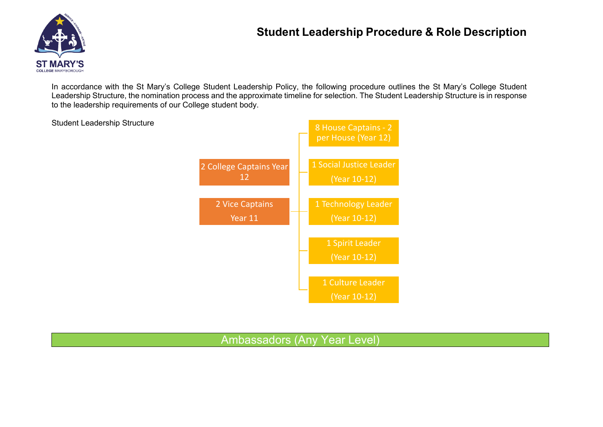# **Student Leadership Procedure & Role Description**



Student Leadership Structure

In accordance with the St Mary's College Student Leadership Policy, the following procedure outlines the St Mary's College Student Leadership Structure, the nomination process and the approximate timeline for selection. The Student Leadership Structure is in response to the leadership requirements of our College student body.



Ambassadors (Any Year Level)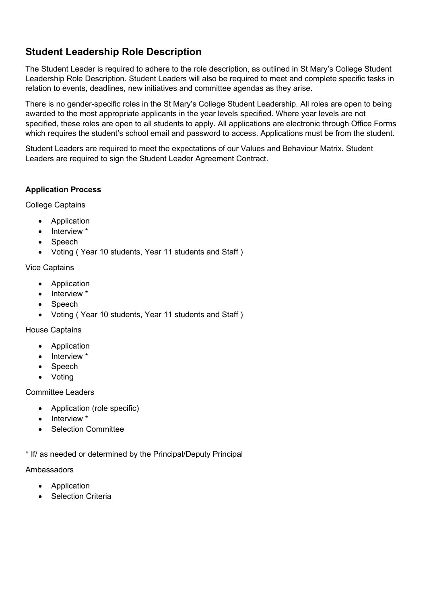## **Student Leadership Role Description**

The Student Leader is required to adhere to the role description, as outlined in St Mary's College Student Leadership Role Description. Student Leaders will also be required to meet and complete specific tasks in relation to events, deadlines, new initiatives and committee agendas as they arise.

There is no gender-specific roles in the St Mary's College Student Leadership. All roles are open to being awarded to the most appropriate applicants in the year levels specified. Where year levels are not specified, these roles are open to all students to apply. All applications are electronic through Office Forms which requires the student's school email and password to access. Applications must be from the student.

Student Leaders are required to meet the expectations of our Values and Behaviour Matrix. Student Leaders are required to sign the Student Leader Agreement Contract.

#### **Application Process**

College Captains

- Application
- Interview \*
- **Speech**
- Voting ( Year 10 students, Year 11 students and Staff )

#### Vice Captains

- Application
- Interview \*
- Speech
- Voting ( Year 10 students, Year 11 students and Staff )

House Captains

- **Application**
- Interview \*
- Speech
- Voting

Committee Leaders

- Application (role specific)
- Interview \*
- Selection Committee

\* If/ as needed or determined by the Principal/Deputy Principal

#### Ambassadors

- **Application**
- **Selection Criteria**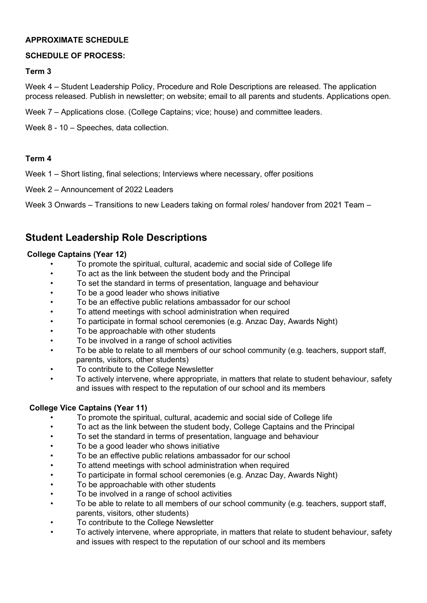#### **APPROXIMATE SCHEDULE**

#### **SCHEDULE OF PROCESS:**

#### **Term 3**

Week 4 – Student Leadership Policy, Procedure and Role Descriptions are released. The application process released. Publish in newsletter; on website; email to all parents and students. Applications open.

Week 7 – Applications close. (College Captains; vice; house) and committee leaders.

Week 8 - 10 – Speeches, data collection.

#### **Term 4**

Week 1 – Short listing, final selections; Interviews where necessary, offer positions

Week 2 – Announcement of 2022 Leaders

Week 3 Onwards – Transitions to new Leaders taking on formal roles/ handover from 2021 Team –

## **Student Leadership Role Descriptions**

#### **College Captains (Year 12)**

- To promote the spiritual, cultural, academic and social side of College life
- To act as the link between the student body and the Principal
- To set the standard in terms of presentation, language and behaviour
- To be a good leader who shows initiative
- To be an effective public relations ambassador for our school
- To attend meetings with school administration when required
- To participate in formal school ceremonies (e.g. Anzac Day, Awards Night)
- To be approachable with other students
- To be involved in a range of school activities
- To be able to relate to all members of our school community (e.g. teachers, support staff, parents, visitors, other students)
- To contribute to the College Newsletter
- To actively intervene, where appropriate, in matters that relate to student behaviour, safety and issues with respect to the reputation of our school and its members

#### **College Vice Captains (Year 11)**

- To promote the spiritual, cultural, academic and social side of College life
- To act as the link between the student body, College Captains and the Principal
- To set the standard in terms of presentation, language and behaviour
- To be a good leader who shows initiative
- To be an effective public relations ambassador for our school
- To attend meetings with school administration when required
- To participate in formal school ceremonies (e.g. Anzac Day, Awards Night)
- To be approachable with other students
- To be involved in a range of school activities
- To be able to relate to all members of our school community (e.g. teachers, support staff, parents, visitors, other students)
- To contribute to the College Newsletter
- To actively intervene, where appropriate, in matters that relate to student behaviour, safety and issues with respect to the reputation of our school and its members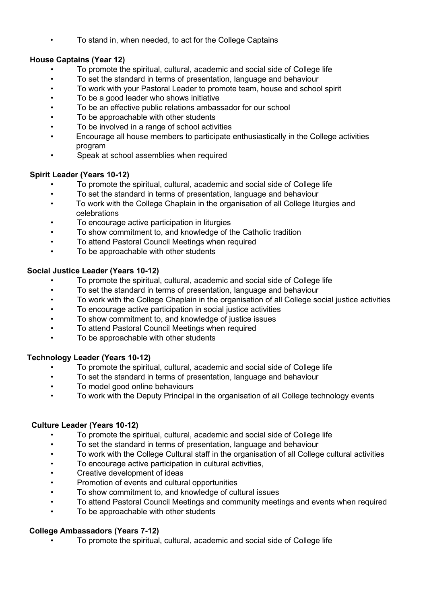• To stand in, when needed, to act for the College Captains

## **House Captains (Year 12)**

- To promote the spiritual, cultural, academic and social side of College life
- To set the standard in terms of presentation, language and behaviour
- To work with your Pastoral Leader to promote team, house and school spirit
- To be a good leader who shows initiative
- To be an effective public relations ambassador for our school
- To be approachable with other students
- To be involved in a range of school activities
- Encourage all house members to participate enthusiastically in the College activities program
- Speak at school assemblies when required

### **Spirit Leader (Years 10-12)**

- To promote the spiritual, cultural, academic and social side of College life
- To set the standard in terms of presentation, language and behaviour
- To work with the College Chaplain in the organisation of all College liturgies and celebrations
- To encourage active participation in liturgies
- To show commitment to, and knowledge of the Catholic tradition
- To attend Pastoral Council Meetings when required
- To be approachable with other students

### **Social Justice Leader (Years 10-12)**

- To promote the spiritual, cultural, academic and social side of College life
- To set the standard in terms of presentation, language and behaviour
- To work with the College Chaplain in the organisation of all College social justice activities
- To encourage active participation in social justice activities
- To show commitment to, and knowledge of justice issues
- To attend Pastoral Council Meetings when required
- To be approachable with other students

## **Technology Leader (Years 10-12)**

- To promote the spiritual, cultural, academic and social side of College life
- To set the standard in terms of presentation, language and behaviour
- To model good online behaviours
- To work with the Deputy Principal in the organisation of all College technology events

#### **Culture Leader (Years 10-12)**

- To promote the spiritual, cultural, academic and social side of College life
- To set the standard in terms of presentation, language and behaviour
- To work with the College Cultural staff in the organisation of all College cultural activities
- To encourage active participation in cultural activities,
- Creative development of ideas
- Promotion of events and cultural opportunities
- To show commitment to, and knowledge of cultural issues
- To attend Pastoral Council Meetings and community meetings and events when required
- To be approachable with other students

#### **College Ambassadors (Years 7-12)**

• To promote the spiritual, cultural, academic and social side of College life